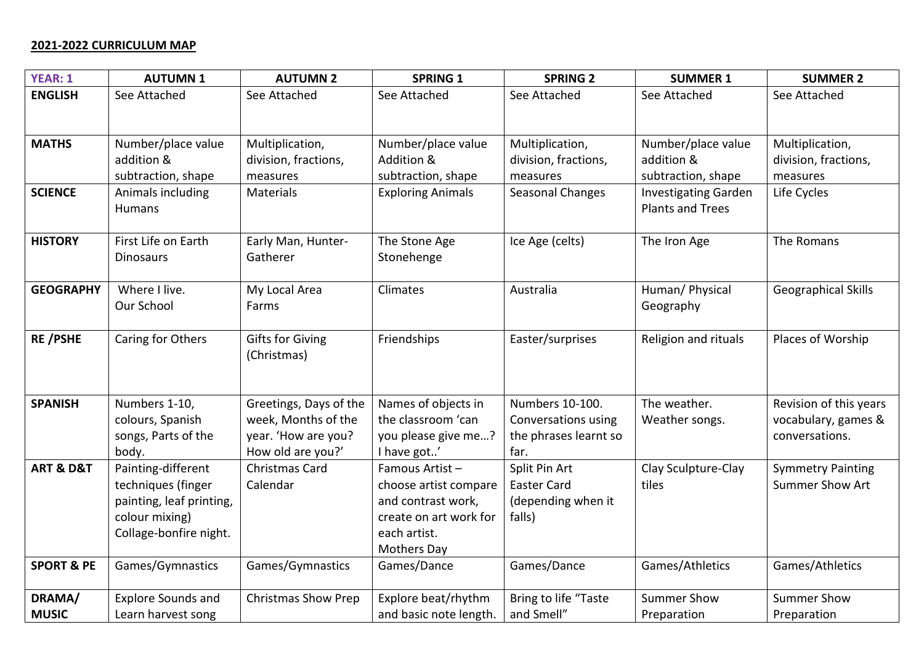## **2021-2022 CURRICULUM MAP**

| <b>YEAR: 1</b>           | <b>AUTUMN1</b>            | <b>AUTUMN 2</b>            | <b>SPRING 1</b>          | <b>SPRING 2</b>       | <b>SUMMER 1</b>             | <b>SUMMER 2</b>            |
|--------------------------|---------------------------|----------------------------|--------------------------|-----------------------|-----------------------------|----------------------------|
| <b>ENGLISH</b>           | See Attached              | See Attached               | See Attached             | See Attached          | See Attached                | See Attached               |
|                          |                           |                            |                          |                       |                             |                            |
| <b>MATHS</b>             | Number/place value        | Multiplication,            | Number/place value       | Multiplication,       | Number/place value          | Multiplication,            |
|                          | addition &                | division, fractions,       | Addition &               | division, fractions,  | addition &                  | division, fractions,       |
|                          | subtraction, shape        | measures                   | subtraction, shape       | measures              | subtraction, shape          | measures                   |
| <b>SCIENCE</b>           | Animals including         | <b>Materials</b>           | <b>Exploring Animals</b> | Seasonal Changes      | <b>Investigating Garden</b> | Life Cycles                |
|                          | Humans                    |                            |                          |                       | <b>Plants and Trees</b>     |                            |
|                          |                           |                            |                          |                       |                             |                            |
| <b>HISTORY</b>           | First Life on Earth       | Early Man, Hunter-         | The Stone Age            | Ice Age (celts)       | The Iron Age                | The Romans                 |
|                          | <b>Dinosaurs</b>          | Gatherer                   | Stonehenge               |                       |                             |                            |
|                          |                           |                            |                          |                       |                             |                            |
| <b>GEOGRAPHY</b>         | Where I live.             | My Local Area              | Climates                 | Australia             | Human/ Physical             | <b>Geographical Skills</b> |
|                          | Our School                | Farms                      |                          |                       | Geography                   |                            |
|                          |                           |                            |                          |                       |                             |                            |
| <b>RE/PSHE</b>           | Caring for Others         | <b>Gifts for Giving</b>    | Friendships              | Easter/surprises      | Religion and rituals        | Places of Worship          |
|                          |                           | (Christmas)                |                          |                       |                             |                            |
|                          |                           |                            |                          |                       |                             |                            |
|                          |                           |                            |                          |                       |                             |                            |
| <b>SPANISH</b>           | Numbers 1-10,             | Greetings, Days of the     | Names of objects in      | Numbers 10-100.       | The weather.                | Revision of this years     |
|                          | colours, Spanish          | week, Months of the        | the classroom 'can       | Conversations using   | Weather songs.              | vocabulary, games &        |
|                          | songs, Parts of the       | year. 'How are you?        | you please give me?      | the phrases learnt so |                             | conversations.             |
|                          | body.                     | How old are you?'          | I have got'              | far.                  |                             |                            |
| <b>ART &amp; D&amp;T</b> | Painting-different        | Christmas Card             | Famous Artist-           | Split Pin Art         | Clay Sculpture-Clay         | <b>Symmetry Painting</b>   |
|                          | techniques (finger        | Calendar                   | choose artist compare    | <b>Easter Card</b>    | tiles                       | <b>Summer Show Art</b>     |
|                          | painting, leaf printing,  |                            | and contrast work,       | (depending when it    |                             |                            |
|                          | colour mixing)            |                            | create on art work for   | falls)                |                             |                            |
|                          | Collage-bonfire night.    |                            | each artist.             |                       |                             |                            |
|                          |                           |                            | <b>Mothers Day</b>       |                       |                             |                            |
| <b>SPORT &amp; PE</b>    | Games/Gymnastics          | Games/Gymnastics           | Games/Dance              | Games/Dance           | Games/Athletics             | Games/Athletics            |
| DRAMA/                   | <b>Explore Sounds and</b> | <b>Christmas Show Prep</b> | Explore beat/rhythm      | Bring to life "Taste  | <b>Summer Show</b>          | <b>Summer Show</b>         |
| <b>MUSIC</b>             | Learn harvest song        |                            | and basic note length.   | and Smell"            | Preparation                 | Preparation                |